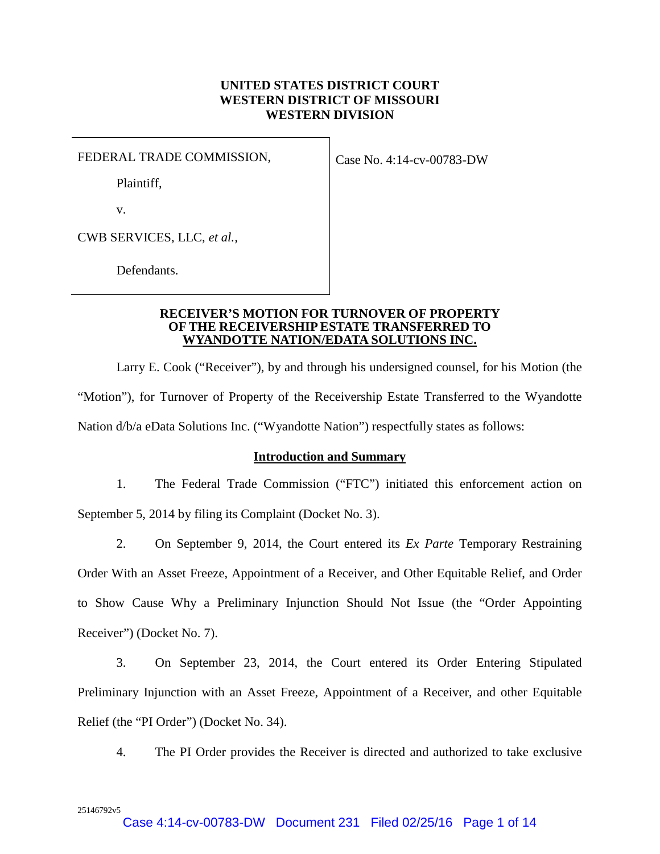# **UNITED STATES DISTRICT COURT WESTERN DISTRICT OF MISSOURI WESTERN DIVISION**

FEDERAL TRADE COMMISSION,

Case No. 4:14-cv-00783-DW

Plaintiff,

v.

CWB SERVICES, LLC, *et al.,*

Defendants.

#### **RECEIVER'S MOTION FOR TURNOVER OF PROPERTY OF THE RECEIVERSHIP ESTATE TRANSFERRED TO WYANDOTTE NATION/EDATA SOLUTIONS INC.**

Larry E. Cook ("Receiver"), by and through his undersigned counsel, for his Motion (the "Motion"), for Turnover of Property of the Receivership Estate Transferred to the Wyandotte Nation d/b/a eData Solutions Inc. ("Wyandotte Nation") respectfully states as follows:

# **Introduction and Summary**

1. The Federal Trade Commission ("FTC") initiated this enforcement action on September 5, 2014 by filing its Complaint (Docket No. 3).

2. On September 9, 2014, the Court entered its *Ex Parte* Temporary Restraining Order With an Asset Freeze, Appointment of a Receiver, and Other Equitable Relief, and Order to Show Cause Why a Preliminary Injunction Should Not Issue (the "Order Appointing Receiver") (Docket No. 7).

3. On September 23, 2014, the Court entered its Order Entering Stipulated Preliminary Injunction with an Asset Freeze, Appointment of a Receiver, and other Equitable Relief (the "PI Order") (Docket No. 34).

4. The PI Order provides the Receiver is directed and authorized to take exclusive

25146792v5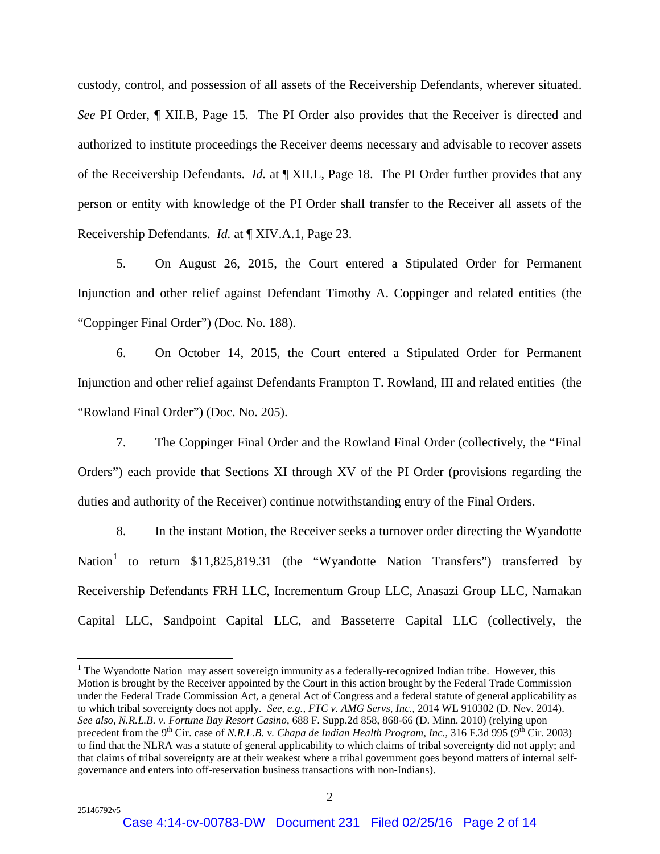custody, control, and possession of all assets of the Receivership Defendants, wherever situated. *See* PI Order, ¶ XII.B, Page 15. The PI Order also provides that the Receiver is directed and authorized to institute proceedings the Receiver deems necessary and advisable to recover assets of the Receivership Defendants. *Id.* at ¶ XII.L, Page 18. The PI Order further provides that any person or entity with knowledge of the PI Order shall transfer to the Receiver all assets of the Receivership Defendants. *Id.* at ¶ XIV.A.1, Page 23.

5. On August 26, 2015, the Court entered a Stipulated Order for Permanent Injunction and other relief against Defendant Timothy A. Coppinger and related entities (the "Coppinger Final Order") (Doc. No. 188).

6. On October 14, 2015, the Court entered a Stipulated Order for Permanent Injunction and other relief against Defendants Frampton T. Rowland, III and related entities (the "Rowland Final Order") (Doc. No. 205).

7. The Coppinger Final Order and the Rowland Final Order (collectively, the "Final Orders") each provide that Sections XI through XV of the PI Order (provisions regarding the duties and authority of the Receiver) continue notwithstanding entry of the Final Orders.

8. In the instant Motion, the Receiver seeks a turnover order directing the Wyandotte Nation<sup>[1](#page-1-0)</sup> to return \$11,825,819.31 (the "Wyandotte Nation Transfers") transferred by Receivership Defendants FRH LLC, Incrementum Group LLC, Anasazi Group LLC, Namakan Capital LLC, Sandpoint Capital LLC, and Basseterre Capital LLC (collectively, the

<span id="page-1-0"></span> $1$  The Wyandotte Nation may assert sovereign immunity as a federally-recognized Indian tribe. However, this Motion is brought by the Receiver appointed by the Court in this action brought by the Federal Trade Commission under the Federal Trade Commission Act, a general Act of Congress and a federal statute of general applicability as to which tribal sovereignty does not apply. *See, e.g., FTC v. AMG Servs, Inc.*, 2014 WL 910302 (D. Nev. 2014). *See also*, *N.R.L.B. v. Fortune Bay Resort Casino*, 688 F. Supp.2d 858, 868-66 (D. Minn. 2010) (relying upon precedent from the 9<sup>th</sup> Cir. case of *N.R.L.B. v. Chapa de Indian Health Program, Inc.*, 316 F.3d 995 (9<sup>th</sup> Cir. 2003) to find that the NLRA was a statute of general applicability to which claims of tribal sovereignty did not apply; and that claims of tribal sovereignty are at their weakest where a tribal government goes beyond matters of internal selfgovernance and enters into off-reservation business transactions with non-Indians).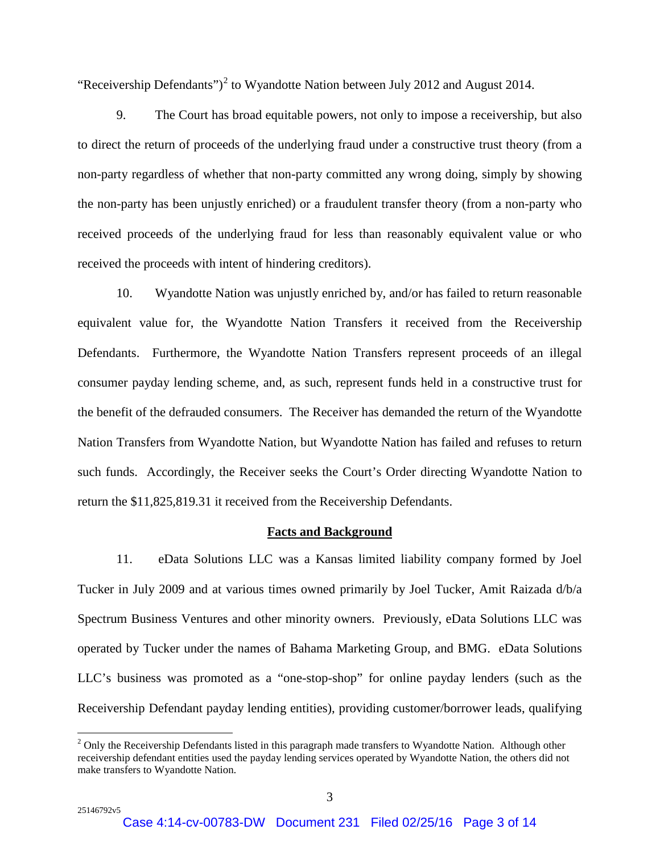"Receivership Defendants")<sup>[2](#page-2-0)</sup> to Wyandotte Nation between July 2012 and August 2014.

9. The Court has broad equitable powers, not only to impose a receivership, but also to direct the return of proceeds of the underlying fraud under a constructive trust theory (from a non-party regardless of whether that non-party committed any wrong doing, simply by showing the non-party has been unjustly enriched) or a fraudulent transfer theory (from a non-party who received proceeds of the underlying fraud for less than reasonably equivalent value or who received the proceeds with intent of hindering creditors).

10. Wyandotte Nation was unjustly enriched by, and/or has failed to return reasonable equivalent value for, the Wyandotte Nation Transfers it received from the Receivership Defendants. Furthermore, the Wyandotte Nation Transfers represent proceeds of an illegal consumer payday lending scheme, and, as such, represent funds held in a constructive trust for the benefit of the defrauded consumers. The Receiver has demanded the return of the Wyandotte Nation Transfers from Wyandotte Nation, but Wyandotte Nation has failed and refuses to return such funds. Accordingly, the Receiver seeks the Court's Order directing Wyandotte Nation to return the \$11,825,819.31 it received from the Receivership Defendants.

#### **Facts and Background**

11. eData Solutions LLC was a Kansas limited liability company formed by Joel Tucker in July 2009 and at various times owned primarily by Joel Tucker, Amit Raizada d/b/a Spectrum Business Ventures and other minority owners. Previously, eData Solutions LLC was operated by Tucker under the names of Bahama Marketing Group, and BMG. eData Solutions LLC's business was promoted as a "one-stop-shop" for online payday lenders (such as the Receivership Defendant payday lending entities), providing customer/borrower leads, qualifying

<span id="page-2-0"></span><sup>&</sup>lt;sup>2</sup> Only the Receivership Defendants listed in this paragraph made transfers to Wyandotte Nation. Although other receivership defendant entities used the payday lending services operated by Wyandotte Nation, the others did not make transfers to Wyandotte Nation.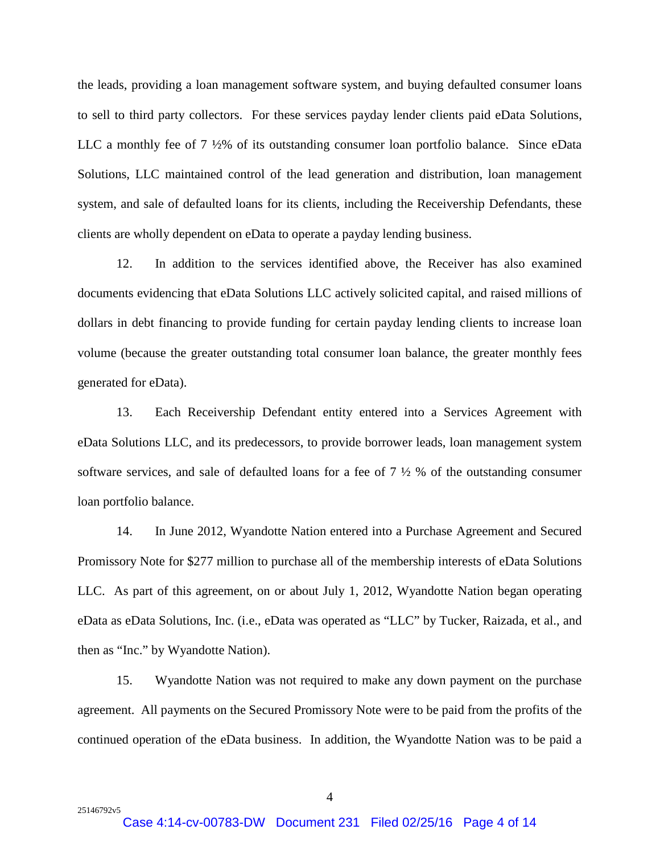the leads, providing a loan management software system, and buying defaulted consumer loans to sell to third party collectors. For these services payday lender clients paid eData Solutions, LLC a monthly fee of 7 ½% of its outstanding consumer loan portfolio balance. Since eData Solutions, LLC maintained control of the lead generation and distribution, loan management system, and sale of defaulted loans for its clients, including the Receivership Defendants, these clients are wholly dependent on eData to operate a payday lending business.

12. In addition to the services identified above, the Receiver has also examined documents evidencing that eData Solutions LLC actively solicited capital, and raised millions of dollars in debt financing to provide funding for certain payday lending clients to increase loan volume (because the greater outstanding total consumer loan balance, the greater monthly fees generated for eData).

13. Each Receivership Defendant entity entered into a Services Agreement with eData Solutions LLC, and its predecessors, to provide borrower leads, loan management system software services, and sale of defaulted loans for a fee of 7 ½ % of the outstanding consumer loan portfolio balance.

14. In June 2012, Wyandotte Nation entered into a Purchase Agreement and Secured Promissory Note for \$277 million to purchase all of the membership interests of eData Solutions LLC. As part of this agreement, on or about July 1, 2012, Wyandotte Nation began operating eData as eData Solutions, Inc. (i.e., eData was operated as "LLC" by Tucker, Raizada, et al., and then as "Inc." by Wyandotte Nation).

15. Wyandotte Nation was not required to make any down payment on the purchase agreement. All payments on the Secured Promissory Note were to be paid from the profits of the continued operation of the eData business. In addition, the Wyandotte Nation was to be paid a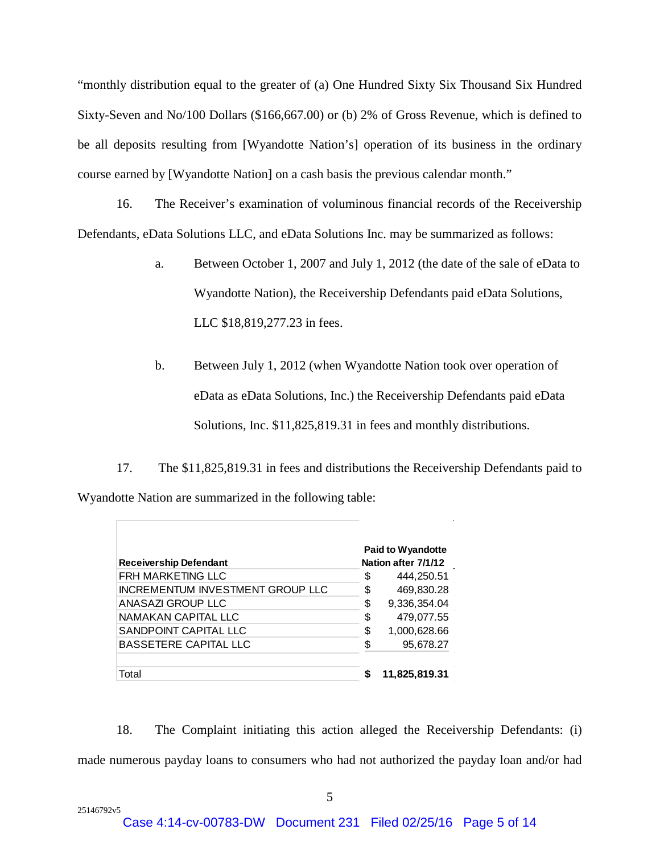"monthly distribution equal to the greater of (a) One Hundred Sixty Six Thousand Six Hundred Sixty-Seven and No/100 Dollars (\$166,667.00) or (b) 2% of Gross Revenue, which is defined to be all deposits resulting from [Wyandotte Nation's] operation of its business in the ordinary course earned by [Wyandotte Nation] on a cash basis the previous calendar month."

16. The Receiver's examination of voluminous financial records of the Receivership Defendants, eData Solutions LLC, and eData Solutions Inc. may be summarized as follows:

- a. Between October 1, 2007 and July 1, 2012 (the date of the sale of eData to Wyandotte Nation), the Receivership Defendants paid eData Solutions, LLC \$18,819,277.23 in fees.
- b. Between July 1, 2012 (when Wyandotte Nation took over operation of eData as eData Solutions, Inc.) the Receivership Defendants paid eData Solutions, Inc. \$11,825,819.31 in fees and monthly distributions.

17. The \$11,825,819.31 in fees and distributions the Receivership Defendants paid to Wyandotte Nation are summarized in the following table:

| <b>Receivership Defendant</b>           | <b>Paid to Wyandotte</b><br>Nation after 7/1/12 |               |  |
|-----------------------------------------|-------------------------------------------------|---------------|--|
| <b>FRH MARKETING LLC</b>                | \$                                              | 444,250.51    |  |
| <b>INCREMENTUM INVESTMENT GROUP LLC</b> | \$                                              | 469,830.28    |  |
| ANASAZI GROUP LLC                       | \$                                              | 9,336,354.04  |  |
| NAMAKAN CAPITAL LLC                     | \$                                              | 479,077.55    |  |
| SANDPOINT CAPITAL LLC                   | \$                                              | 1,000,628.66  |  |
| <b>BASSETERE CAPITAL LLC</b>            | S                                               | 95,678.27     |  |
|                                         |                                                 |               |  |
| Total                                   |                                                 | 11,825,819.31 |  |

18. The Complaint initiating this action alleged the Receivership Defendants: (i) made numerous payday loans to consumers who had not authorized the payday loan and/or had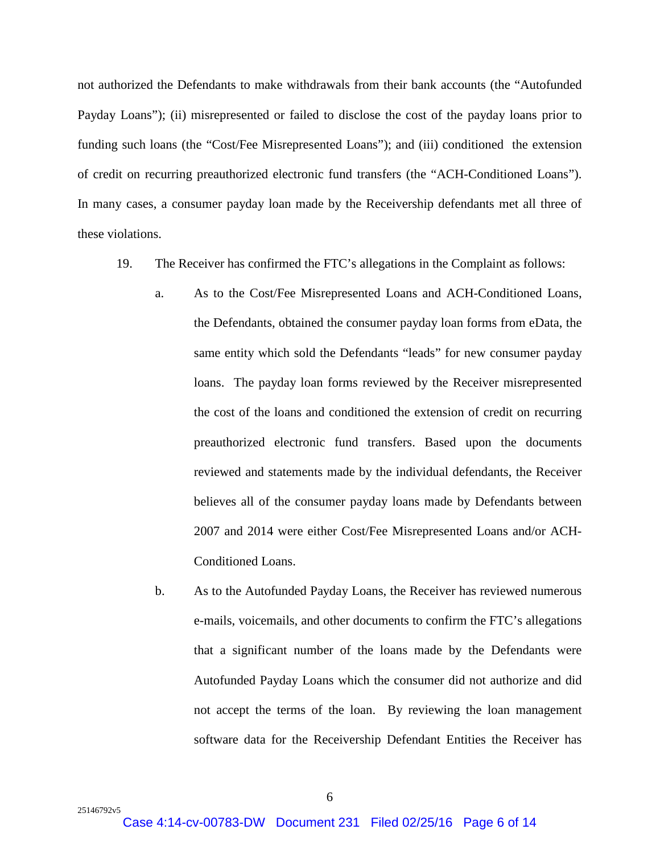not authorized the Defendants to make withdrawals from their bank accounts (the "Autofunded Payday Loans"); (ii) misrepresented or failed to disclose the cost of the payday loans prior to funding such loans (the "Cost/Fee Misrepresented Loans"); and (iii) conditioned the extension of credit on recurring preauthorized electronic fund transfers (the "ACH-Conditioned Loans"). In many cases, a consumer payday loan made by the Receivership defendants met all three of these violations.

- 19. The Receiver has confirmed the FTC's allegations in the Complaint as follows:
	- a. As to the Cost/Fee Misrepresented Loans and ACH-Conditioned Loans, the Defendants, obtained the consumer payday loan forms from eData, the same entity which sold the Defendants "leads" for new consumer payday loans. The payday loan forms reviewed by the Receiver misrepresented the cost of the loans and conditioned the extension of credit on recurring preauthorized electronic fund transfers. Based upon the documents reviewed and statements made by the individual defendants, the Receiver believes all of the consumer payday loans made by Defendants between 2007 and 2014 were either Cost/Fee Misrepresented Loans and/or ACH-Conditioned Loans.
	- b. As to the Autofunded Payday Loans, the Receiver has reviewed numerous e-mails, voicemails, and other documents to confirm the FTC's allegations that a significant number of the loans made by the Defendants were Autofunded Payday Loans which the consumer did not authorize and did not accept the terms of the loan. By reviewing the loan management software data for the Receivership Defendant Entities the Receiver has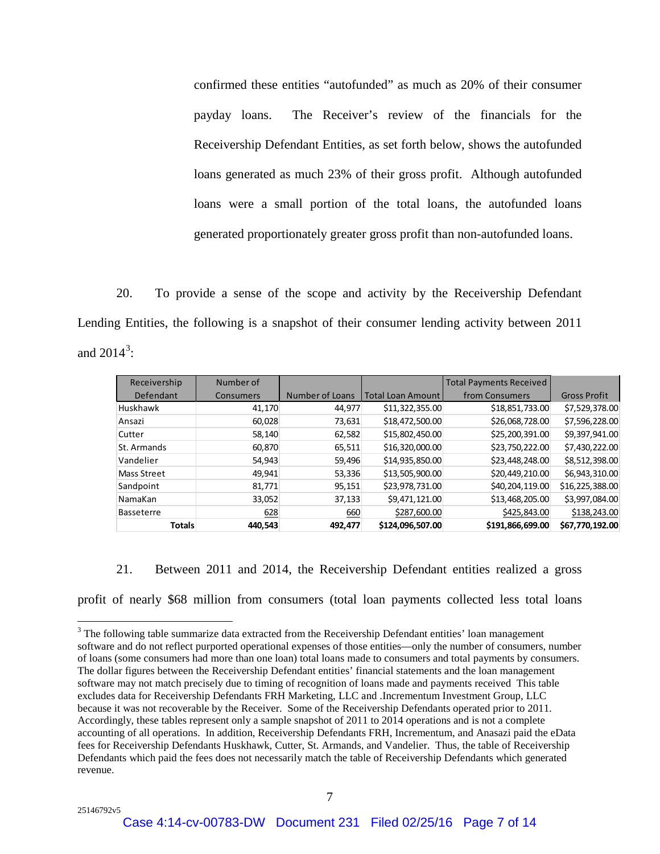confirmed these entities "autofunded" as much as 20% of their consumer payday loans. The Receiver's review of the financials for the Receivership Defendant Entities, as set forth below, shows the autofunded loans generated as much 23% of their gross profit. Although autofunded loans were a small portion of the total loans, the autofunded loans generated proportionately greater gross profit than non-autofunded loans.

20. To provide a sense of the scope and activity by the Receivership Defendant Lending Entities, the following is a snapshot of their consumer lending activity between 2011 and  $2014^3$  $2014^3$ :

| Receivership      | Number of        |                 |                          | <b>Total Payments Received</b> |                     |
|-------------------|------------------|-----------------|--------------------------|--------------------------------|---------------------|
| Defendant         | <b>Consumers</b> | Number of Loans | <b>Total Loan Amount</b> | from Consumers                 | <b>Gross Profit</b> |
| <b>Huskhawk</b>   | 41,170           | 44,977          | \$11,322,355.00          | \$18,851,733.00                | \$7,529,378.00      |
| Ansazi            | 60,028           | 73,631          | \$18,472,500.00          | \$26,068,728.00                | \$7,596,228.00      |
| Cutter            | 58,140           | 62,582          | \$15,802,450.00          | \$25,200,391.00                | \$9,397,941.00      |
| St. Armands       | 60,870           | 65,511          | \$16,320,000.00          | \$23,750,222.00                | \$7,430,222.00      |
| Vandelier         | 54,943           | 59,496          | \$14,935,850.00          | \$23,448,248.00                | \$8,512,398.00      |
| Mass Street       | 49,941           | 53,336          | \$13,505,900.00          | \$20,449,210.00                | \$6,943,310.00      |
| Sandpoint         | 81,771           | 95,151          | \$23,978,731.00          | \$40,204,119.00                | \$16,225,388.00     |
| NamaKan           | 33,052           | 37,133          | \$9,471,121.00           | \$13,468,205.00                | \$3,997,084.00      |
| <b>Basseterre</b> | 628              | 660             | \$287,600.00             | \$425,843.00                   | \$138,243.00        |
| <b>Totals</b>     | 440,543          | 492,477         | \$124,096,507.00         | \$191,866,699.00               | \$67,770,192.00     |

21. Between 2011 and 2014, the Receivership Defendant entities realized a gross profit of nearly \$68 million from consumers (total loan payments collected less total loans

<span id="page-6-0"></span><sup>&</sup>lt;sup>3</sup> The following table summarize data extracted from the Receivership Defendant entities' loan management software and do not reflect purported operational expenses of those entities—only the number of consumers, number of loans (some consumers had more than one loan) total loans made to consumers and total payments by consumers. The dollar figures between the Receivership Defendant entities' financial statements and the loan management software may not match precisely due to timing of recognition of loans made and payments received This table excludes data for Receivership Defendants FRH Marketing, LLC and .Incrementum Investment Group, LLC because it was not recoverable by the Receiver. Some of the Receivership Defendants operated prior to 2011. Accordingly, these tables represent only a sample snapshot of 2011 to 2014 operations and is not a complete accounting of all operations. In addition, Receivership Defendants FRH, Incrementum, and Anasazi paid the eData fees for Receivership Defendants Huskhawk, Cutter, St. Armands, and Vandelier. Thus, the table of Receivership Defendants which paid the fees does not necessarily match the table of Receivership Defendants which generated revenue.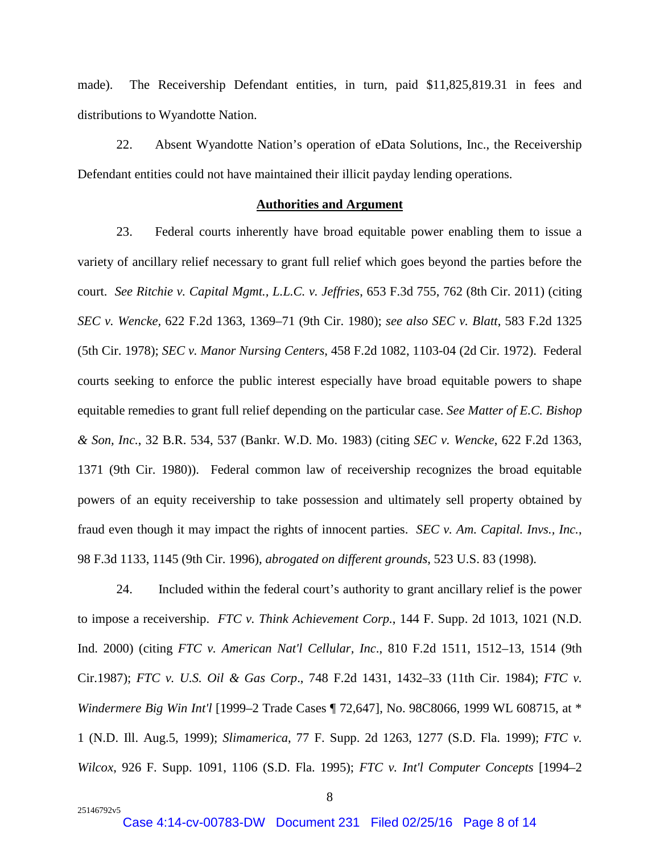made). The Receivership Defendant entities, in turn, paid \$11,825,819.31 in fees and distributions to Wyandotte Nation.

22. Absent Wyandotte Nation's operation of eData Solutions, Inc., the Receivership Defendant entities could not have maintained their illicit payday lending operations.

#### **Authorities and Argument**

23. Federal courts inherently have broad equitable power enabling them to issue a variety of ancillary relief necessary to grant full relief which goes beyond the parties before the court. *See Ritchie v. Capital Mgmt., L.L.C. v. Jeffries*, 653 F.3d 755, 762 (8th Cir. 2011) (citing *SEC v. Wencke,* 622 F.2d 1363, 1369–71 (9th Cir. 1980); *see also SEC v. Blatt*, 583 F.2d 1325 (5th Cir. 1978); *SEC v. Manor Nursing Centers*, 458 F.2d 1082, 1103-04 (2d Cir. 1972). Federal courts seeking to enforce the public interest especially have broad equitable powers to shape equitable remedies to grant full relief depending on the particular case. *See Matter of E.C. Bishop & Son, Inc.*, 32 B.R. 534, 537 (Bankr. W.D. Mo. 1983) (citing *SEC v. Wencke*, 622 F.2d 1363, 1371 (9th Cir. 1980)). Federal common law of receivership recognizes the broad equitable powers of an equity receivership to take possession and ultimately sell property obtained by fraud even though it may impact the rights of innocent parties. *SEC v. Am. Capital. Invs., Inc.*, 98 F.3d 1133, 1145 (9th Cir. 1996), *abrogated on different grounds*, 523 U.S. 83 (1998).

24. Included within the federal court's authority to grant ancillary relief is the power to impose a receivership. *FTC v. Think Achievement Corp.*, 144 F. Supp. 2d 1013, 1021 (N.D. Ind. 2000) (citing *FTC v. American Nat'l Cellular, Inc*., 810 F.2d 1511, 1512–13, 1514 (9th Cir.1987); *FTC v. U.S. Oil & Gas Corp*., 748 F.2d 1431, 1432–33 (11th Cir. 1984); *FTC v. Windermere Big Win Int'l* [1999–2 Trade Cases ¶ 72,647], No. 98C8066, 1999 WL 608715, at \* 1 (N.D. Ill. Aug.5, 1999); *Slimamerica*, 77 F. Supp. 2d 1263, 1277 (S.D. Fla. 1999); *FTC v. Wilcox*, 926 F. Supp. 1091, 1106 (S.D. Fla. 1995); *FTC v. Int'l Computer Concepts* [1994–2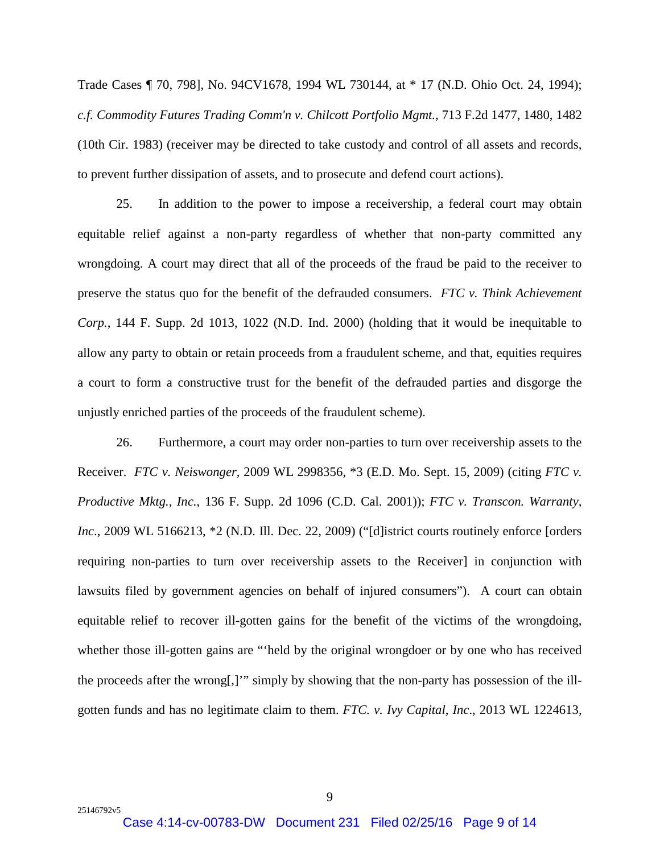Trade Cases ¶ 70, 798], No. 94CV1678, 1994 WL 730144, at \* 17 (N.D. Ohio Oct. 24, 1994); *c.f. Commodity Futures Trading Comm'n v. Chilcott Portfolio Mgmt.*, 713 F.2d 1477, 1480, 1482 (10th Cir. 1983) (receiver may be directed to take custody and control of all assets and records, to prevent further dissipation of assets, and to prosecute and defend court actions).

25. In addition to the power to impose a receivership, a federal court may obtain equitable relief against a non-party regardless of whether that non-party committed any wrongdoing. A court may direct that all of the proceeds of the fraud be paid to the receiver to preserve the status quo for the benefit of the defrauded consumers. *FTC v. Think Achievement Corp.*, 144 F. Supp. 2d 1013, 1022 (N.D. Ind. 2000) (holding that it would be inequitable to allow any party to obtain or retain proceeds from a fraudulent scheme, and that, equities requires a court to form a constructive trust for the benefit of the defrauded parties and disgorge the unjustly enriched parties of the proceeds of the fraudulent scheme).

26. Furthermore, a court may order non-parties to turn over receivership assets to the Receiver. *FTC v. Neiswonger*, 2009 WL 2998356, \*3 (E.D. Mo. Sept. 15, 2009) (citing *FTC v. Productive Mktg., Inc.*, 136 F. Supp. 2d 1096 (C.D. Cal. 2001)); *FTC v. Transcon. Warranty, Inc*., 2009 WL 5166213, \*2 (N.D. Ill. Dec. 22, 2009) ("[d]istrict courts routinely enforce [orders requiring non-parties to turn over receivership assets to the Receiver] in conjunction with lawsuits filed by government agencies on behalf of injured consumers"). A court can obtain equitable relief to recover ill-gotten gains for the benefit of the victims of the wrongdoing, whether those ill-gotten gains are "'held by the original wrongdoer or by one who has received the proceeds after the wrong[,]'" simply by showing that the non-party has possession of the illgotten funds and has no legitimate claim to them. *FTC. v. Ivy Capital*, *Inc*., 2013 WL 1224613,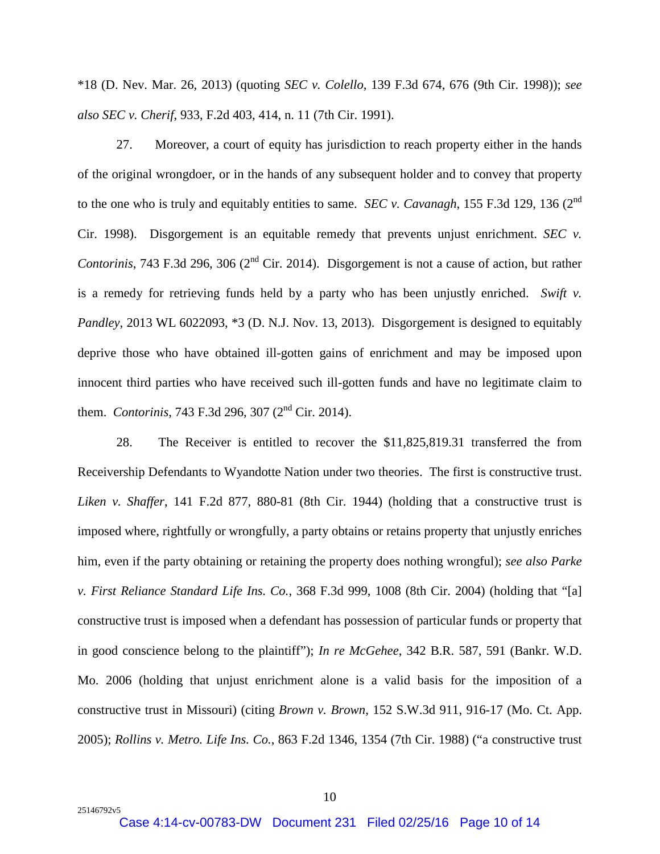\*18 (D. Nev. Mar. 26, 2013) (quoting *SEC v. Colello*, 139 F.3d 674, 676 (9th Cir. 1998)); *see also SEC v. Cherif*, 933, F.2d 403, 414, n. 11 (7th Cir. 1991).

27. Moreover, a court of equity has jurisdiction to reach property either in the hands of the original wrongdoer, or in the hands of any subsequent holder and to convey that property to the one who is truly and equitably entities to same. *SEC v. Cavanagh*, 155 F.3d 129, 136 (2<sup>nd</sup>) Cir. 1998). Disgorgement is an equitable remedy that prevents unjust enrichment. *SEC v. Contorinis*, 743 F.3d 296, 306 (2<sup>nd</sup> Cir. 2014). Disgorgement is not a cause of action, but rather is a remedy for retrieving funds held by a party who has been unjustly enriched. *Swift v. Pandley*, 2013 WL 6022093,  $*3$  (D. N.J. Nov. 13, 2013). Disgorgement is designed to equitably deprive those who have obtained ill-gotten gains of enrichment and may be imposed upon innocent third parties who have received such ill-gotten funds and have no legitimate claim to them. *Contorinis*, 743 F.3d 296, 307 (2nd Cir. 2014).

28. The Receiver is entitled to recover the \$11,825,819.31 transferred the from Receivership Defendants to Wyandotte Nation under two theories. The first is constructive trust. *Liken v. Shaffer*, 141 F.2d 877, 880-81 (8th Cir. 1944) (holding that a constructive trust is imposed where, rightfully or wrongfully, a party obtains or retains property that unjustly enriches him, even if the party obtaining or retaining the property does nothing wrongful); *see also Parke v. First Reliance Standard Life Ins. Co.*, 368 F.3d 999, 1008 (8th Cir. 2004) (holding that "[a] constructive trust is imposed when a defendant has possession of particular funds or property that in good conscience belong to the plaintiff"); *In re McGehee*, 342 B.R. 587, 591 (Bankr. W.D. Mo. 2006 (holding that unjust enrichment alone is a valid basis for the imposition of a constructive trust in Missouri) (citing *Brown v. Brown*, 152 S.W.3d 911, 916-17 (Mo. Ct. App. 2005); *Rollins v. Metro. Life Ins. Co.*, 863 F.2d 1346, 1354 (7th Cir. 1988) ("a constructive trust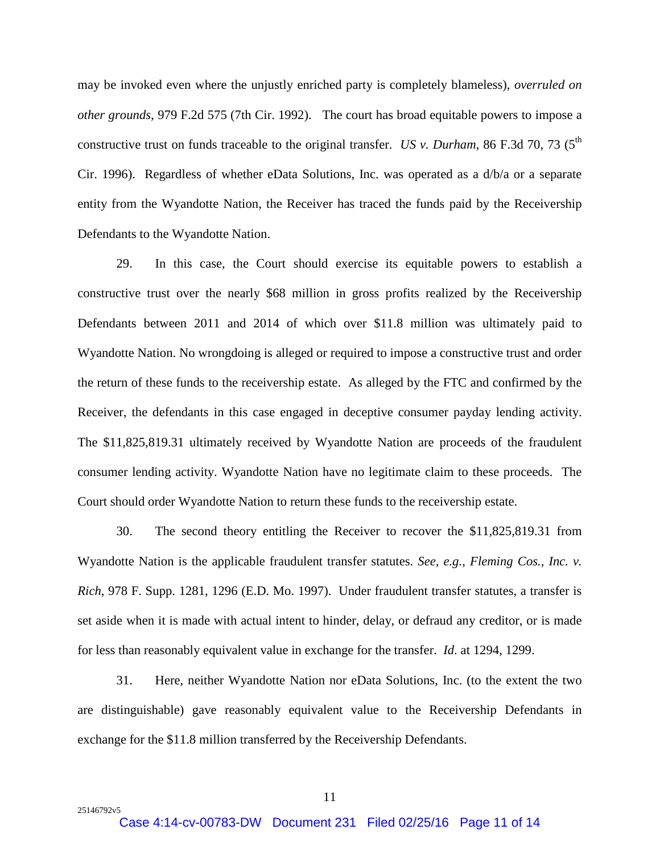may be invoked even where the unjustly enriched party is completely blameless), *overruled on other grounds*, 979 F.2d 575 (7th Cir. 1992). The court has broad equitable powers to impose a constructive trust on funds traceable to the original transfer. *US v. Durham*, 86 F.3d 70, 73 ( $5<sup>th</sup>$ Cir. 1996). Regardless of whether eData Solutions, Inc. was operated as a d/b/a or a separate entity from the Wyandotte Nation, the Receiver has traced the funds paid by the Receivership Defendants to the Wyandotte Nation.

29. In this case, the Court should exercise its equitable powers to establish a constructive trust over the nearly \$68 million in gross profits realized by the Receivership Defendants between 2011 and 2014 of which over \$11.8 million was ultimately paid to Wyandotte Nation. No wrongdoing is alleged or required to impose a constructive trust and order the return of these funds to the receivership estate. As alleged by the FTC and confirmed by the Receiver, the defendants in this case engaged in deceptive consumer payday lending activity. The \$11,825,819.31 ultimately received by Wyandotte Nation are proceeds of the fraudulent consumer lending activity. Wyandotte Nation have no legitimate claim to these proceeds. The Court should order Wyandotte Nation to return these funds to the receivership estate.

30. The second theory entitling the Receiver to recover the \$11,825,819.31 from Wyandotte Nation is the applicable fraudulent transfer statutes. *See, e.g.*, *Fleming Cos., Inc. v. Rich*, 978 F. Supp. 1281, 1296 (E.D. Mo. 1997). Under fraudulent transfer statutes, a transfer is set aside when it is made with actual intent to hinder, delay, or defraud any creditor, or is made for less than reasonably equivalent value in exchange for the transfer. *Id*. at 1294, 1299.

31. Here, neither Wyandotte Nation nor eData Solutions, Inc. (to the extent the two are distinguishable) gave reasonably equivalent value to the Receivership Defendants in exchange for the \$11.8 million transferred by the Receivership Defendants.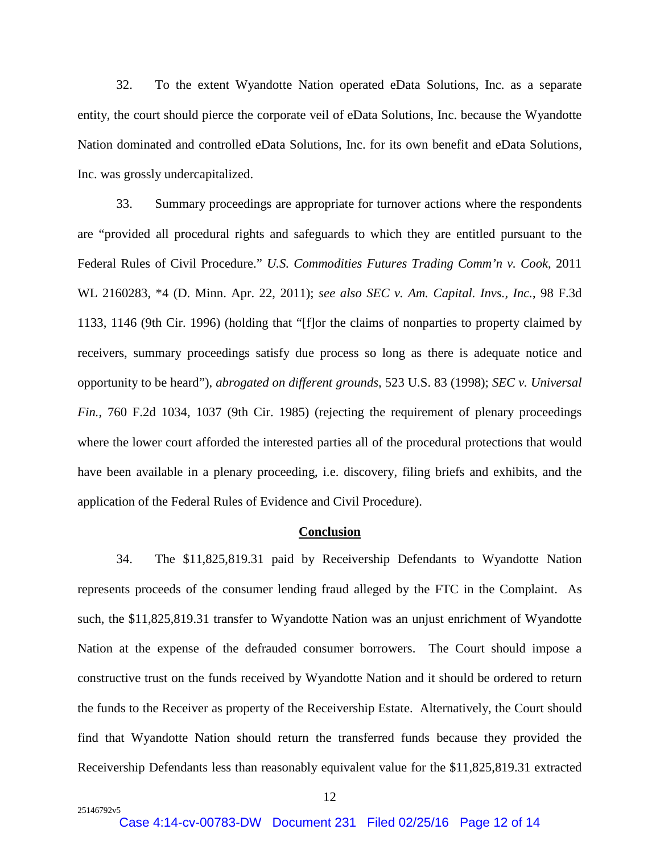32. To the extent Wyandotte Nation operated eData Solutions, Inc. as a separate entity, the court should pierce the corporate veil of eData Solutions, Inc. because the Wyandotte Nation dominated and controlled eData Solutions, Inc. for its own benefit and eData Solutions, Inc. was grossly undercapitalized.

33. Summary proceedings are appropriate for turnover actions where the respondents are "provided all procedural rights and safeguards to which they are entitled pursuant to the Federal Rules of Civil Procedure." *U.S. Commodities Futures Trading Comm'n v. Cook*, 2011 WL 2160283, \*4 (D. Minn. Apr. 22, 2011); *see also SEC v. Am. Capital. Invs., Inc.*, 98 F.3d 1133, 1146 (9th Cir. 1996) (holding that "[f]or the claims of nonparties to property claimed by receivers, summary proceedings satisfy due process so long as there is adequate notice and opportunity to be heard"), *abrogated on different grounds*, 523 U.S. 83 (1998); *SEC v. Universal Fin.*, 760 F.2d 1034, 1037 (9th Cir. 1985) (rejecting the requirement of plenary proceedings where the lower court afforded the interested parties all of the procedural protections that would have been available in a plenary proceeding, i.e. discovery, filing briefs and exhibits, and the application of the Federal Rules of Evidence and Civil Procedure).

#### **Conclusion**

34. The \$11,825,819.31 paid by Receivership Defendants to Wyandotte Nation represents proceeds of the consumer lending fraud alleged by the FTC in the Complaint. As such, the \$11,825,819.31 transfer to Wyandotte Nation was an unjust enrichment of Wyandotte Nation at the expense of the defrauded consumer borrowers. The Court should impose a constructive trust on the funds received by Wyandotte Nation and it should be ordered to return the funds to the Receiver as property of the Receivership Estate. Alternatively, the Court should find that Wyandotte Nation should return the transferred funds because they provided the Receivership Defendants less than reasonably equivalent value for the \$11,825,819.31 extracted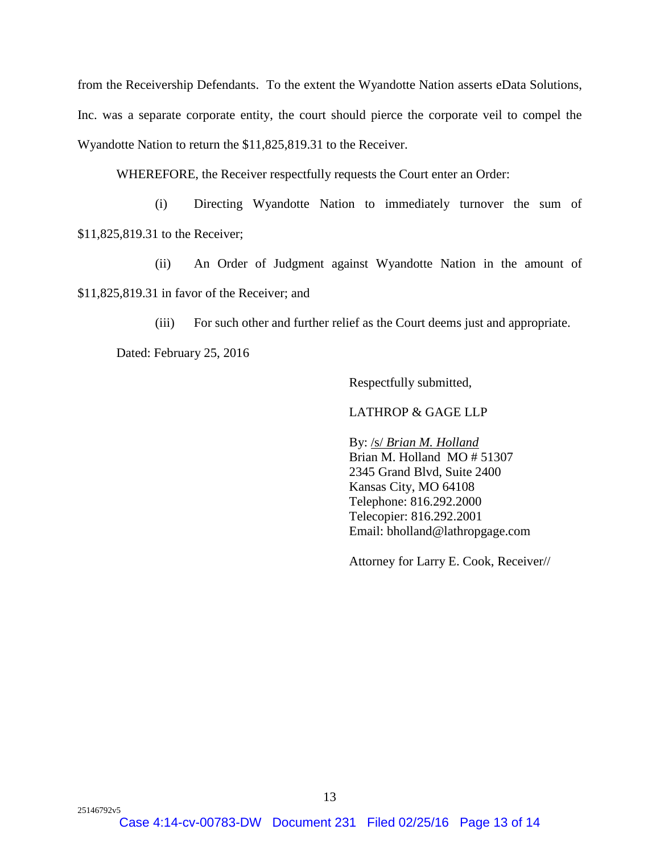from the Receivership Defendants. To the extent the Wyandotte Nation asserts eData Solutions, Inc. was a separate corporate entity, the court should pierce the corporate veil to compel the Wyandotte Nation to return the \$11,825,819.31 to the Receiver.

WHEREFORE, the Receiver respectfully requests the Court enter an Order:

(i) Directing Wyandotte Nation to immediately turnover the sum of \$11,825,819.31 to the Receiver;

(ii) An Order of Judgment against Wyandotte Nation in the amount of \$11,825,819.31 in favor of the Receiver; and

(iii) For such other and further relief as the Court deems just and appropriate.

Dated: February 25, 2016

Respectfully submitted,

### LATHROP & GAGE LLP

By: /s/ *Brian M. Holland* Brian M. Holland MO # 51307 2345 Grand Blvd, Suite 2400 Kansas City, MO 64108 Telephone: 816.292.2000 Telecopier: 816.292.2001 Email: bholland@lathropgage.com

Attorney for Larry E. Cook, Receiver//